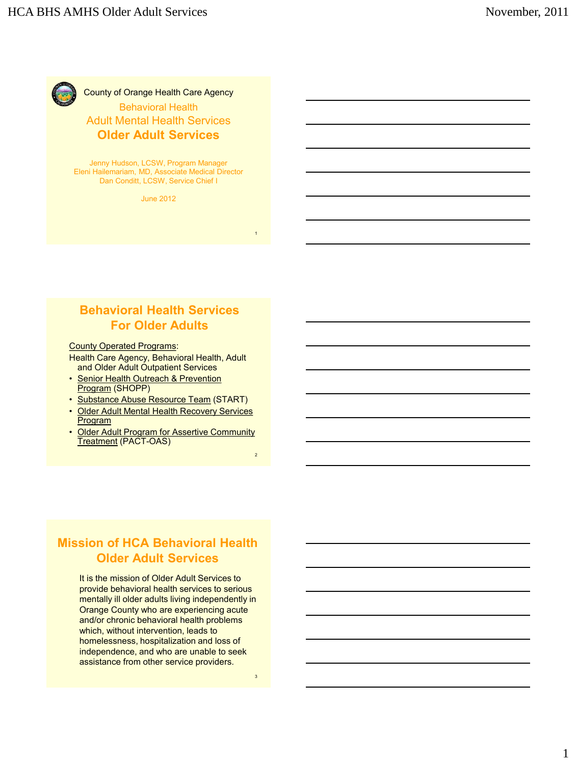

#### County of Orange Health Care Agency Behavioral Health Adult Mental Health Services **Older Adult Services**

Jenny Hudson, LCSW, Program Manager Eleni Hailemariam, MD, Associate Medical Director Dan Conditt, LCSW, Service Chief I

June 2012

## **Behavioral Health Services For Older Adults**

#### County Operated Programs:

Health Care Agency, Behavioral Health, Adult and Older Adult Outpatient Services

- Senior Health Outreach & Prevention Program (SHOPP)
- Substance Abuse Resource Team (START)
- Older Adult Mental Health Recovery Services **Program**
- Older Adult Program for Assertive Community Treatment (PACT-OAS)

## **Mission of HCA Behavioral Health Older Adult Services**

It is the mission of Older Adult Services to provide behavioral health services to serious mentally ill older adults living independently in Orange County who are experiencing acute and/or chronic behavioral health problems which, without intervention, leads to homelessness, hospitalization and loss of independence, and who are unable to seek assistance from other service providers.

3

1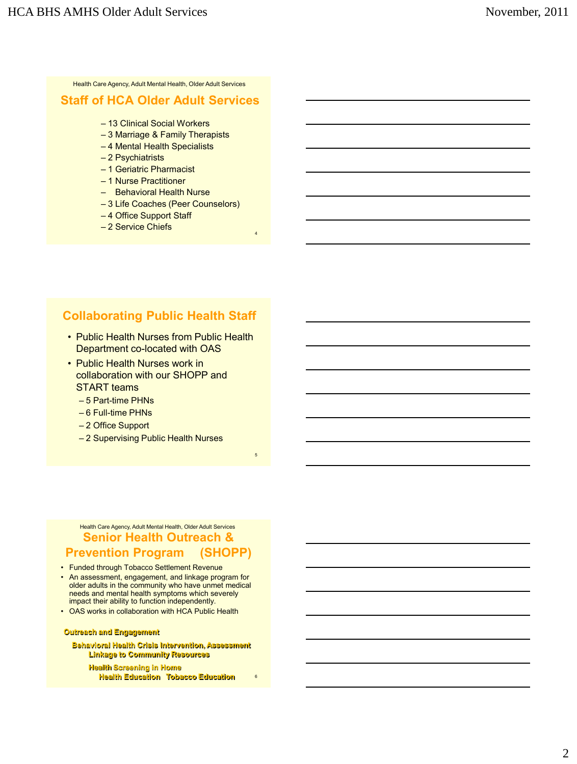Health Care Agency, Adult Mental Health, Older Adult Services

#### **Staff of HCA Older Adult Services**

- 13 Clinical Social Workers
- 3 Marriage & Family Therapists
- 4 Mental Health Specialists
- 2 Psychiatrists
- 1 Geriatric Pharmacist
- 1 Nurse Practitioner
- Behavioral Health Nurse
- 3 Life Coaches (Peer Counselors)

4

5

6

- 4 Office Support Staff
- 2 Service Chiefs

# **Collaborating Public Health Staff**

- Public Health Nurses from Public Health Department co-located with OAS
- Public Health Nurses work in collaboration with our SHOPP and START teams
	- 5 Part-time PHNs
	- 6 Full-time PHNs
	- 2 Office Support
	- 2 Supervising Public Health Nurses

#### **Senior Health Outreach & Prevention Program (SHOPP)** Health Care Agency, Adult Mental Health, Older Adult Services

- Funded through Tobacco Settlement Revenue
- An assessment, engagement, and linkage program for older adults in the community who have unmet medical needs and mental health symptoms which severely impact their ability to function independently.
- OAS works in collaboration with HCA Public Health

#### **Outreach and Engagement**

 **Behavioral Health Crisis Intervention, Assessment Linkage to Community Resources** 

 **Health Screening in Home Health Education Tobacco Education**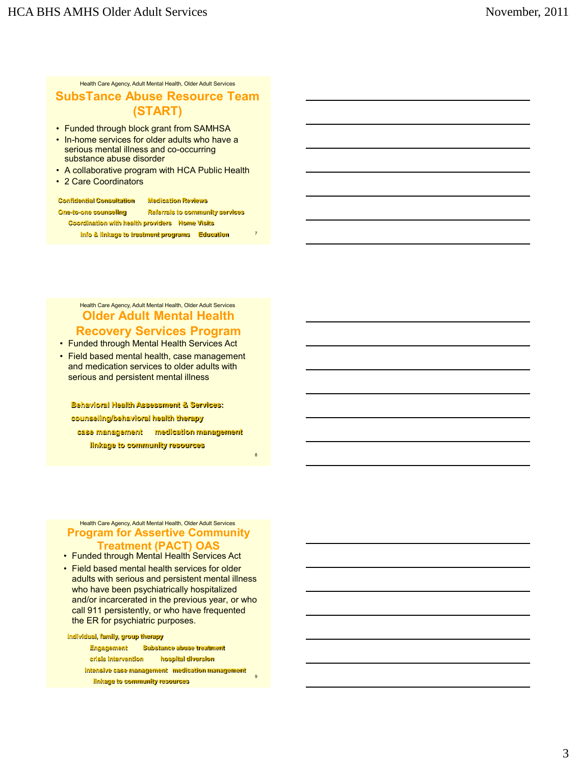Health Care Agency, Adult Mental Health, Older Adult Services

#### **SubsTance Abuse Resource Team (START)**

- Funded through block grant from SAMHSA
- In-home services for older adults who have a serious mental illness and co-occurring substance abuse disorder
- A collaborative program with HCA Public Health
- 2 Care Coordinators

| <b>Confidential Consultation</b>                      | <b>Medication Reviews</b>              |
|-------------------------------------------------------|----------------------------------------|
| <b>One-to-one counseling</b>                          | <b>Referrals to community services</b> |
| <b>Coordination with health providers Home Visits</b> |                                        |
| Info & linkage to treatment programs                  | <b>Education</b>                       |

7

8

#### **Older Adult Mental Health Recovery Services Program** Health Care Agency, Adult Mental Health, Older Adult Services

• Funded through Mental Health Services Act

• Field based mental health, case management and medication services to older adults with serious and persistent mental illness

**Behavioral Health Assessment & Services: counseling/behavioral health therapy case management medication management linkage to community resources**

#### **Program for Assertive Community Treatment (PACT) OAS**  Health Care Agency, Adult Mental Health, Older Adult Services

- Funded through Mental Health Services Act
- Field based mental health services for older adults with serious and persistent mental illness who have been psychiatrically hospitalized and/or incarcerated in the previous year, or who call 911 persistently, or who have frequented the ER for psychiatric purposes.

**Individual, family, group therapy**

| <b>Engagement</b>   | <b>Substance abuse treatment</b>                |
|---------------------|-------------------------------------------------|
| crisis intervention | hospital diversion                              |
|                     | intensive case management medication management |
|                     | $\mathbf{q}$<br>linkage to community resources  |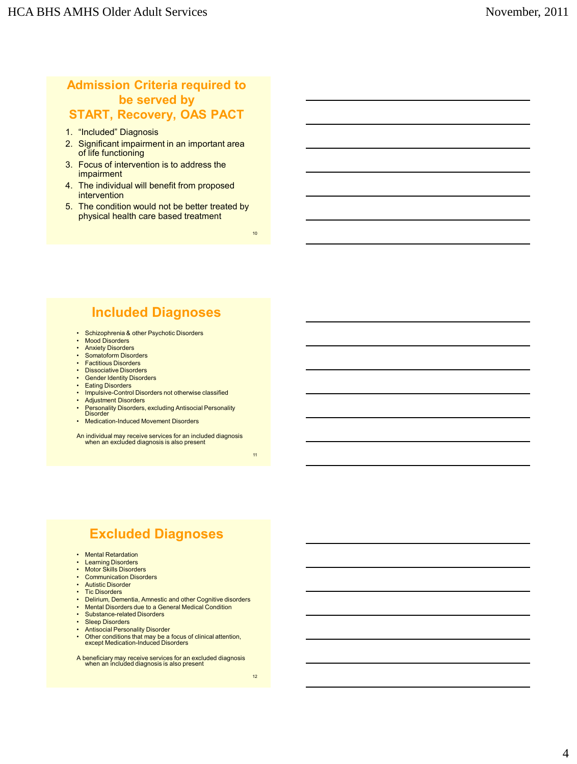## **Admission Criteria required to be served by START, Recovery, OAS PACT**

- 1. "Included" Diagnosis
- 2. Significant impairment in an important area of life functioning
- 3. Focus of intervention is to address the impairment
- 4. The individual will benefit from proposed intervention
- 5. The condition would not be better treated by physical health care based treatment

10

# **Included Diagnoses**

- Schizophrenia & other Psychotic Disorders
- Mood Disorders
- Anxiety Disorders
- Somatoform Disorders • Factitious Disorders
- Dissociative Disorders
- Gender Identity Disorders
- Eating Disorders
- Impulsive-Control Disorders not otherwise classified
- Adjustment Disorders
- Personality Disorders, excluding Antisocial Personality Disorder
- Medication-Induced Movement Disorders

An individual may receive services for an included diagnosis when an excluded diagnosis is also present

11

# **Excluded Diagnoses**

- Mental Retardation
- Learning Disorders
- Motor Skills Disorders
- Communication Disorders
- Autistic Disorder • Tic Disorders
- 
- Delirium, Dementia, Amnestic and other Cognitive disorders Mental Disorders due to a General Medical Condition
- Substance-related Disorders
- Sleep Disorders
- Antisocial Personality Disorder
- Other conditions that may be a focus of clinical attention, except Medication-Induced Disorders
- A beneficiary may receive services for an excluded diagnosis when an included diagnosis is also present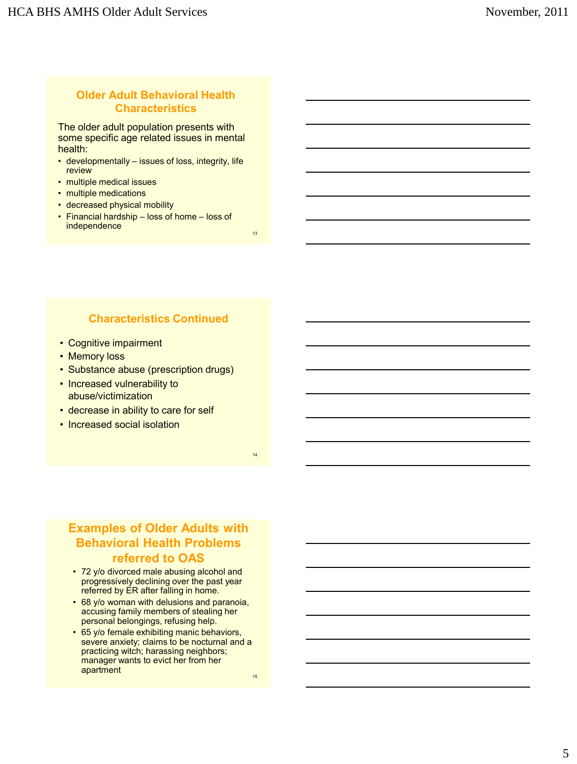#### **Older Adult Behavioral Health Characteristics**

The older adult population presents with some specific age related issues in mental health:

- developmentally issues of loss, integrity, life review
- multiple medical issues
- multiple medications
- decreased physical mobility
- Financial hardship loss of home loss of independence

## **Characteristics Continued**

- Cognitive impairment
- Memory loss
- Substance abuse (prescription drugs)
- Increased vulnerability to abuse/victimization
- decrease in ability to care for self
- Increased social isolation

**Examples of Older Adults with Behavioral Health Problems referred to OAS**

- 72 y/o divorced male abusing alcohol and progressively declining over the past year referred by ER after falling in home.
- 68 y/o woman with delusions and paranoia, accusing family members of stealing her personal belongings, refusing help.
- 65 y/o female exhibiting manic behaviors, severe anxiety; claims to be nocturnal and a practicing witch; harassing neighbors; manager wants to evict her from her apartment

15

13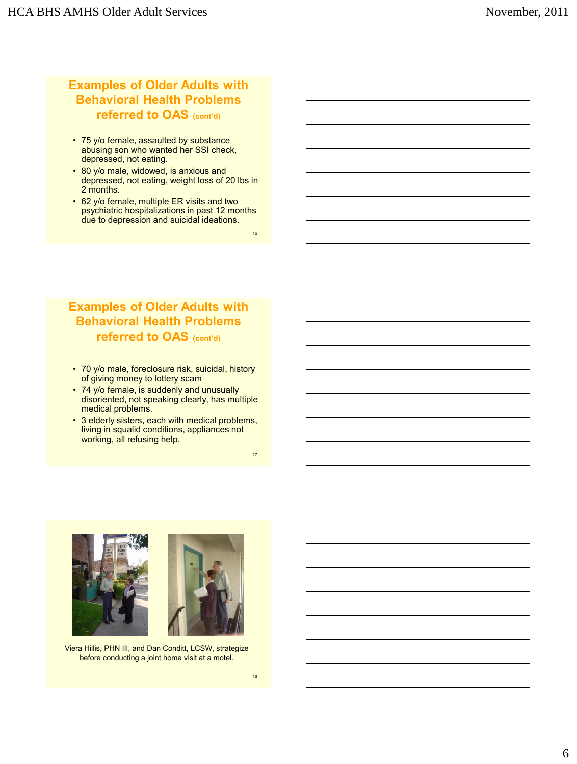## **Examples of Older Adults with Behavioral Health Problems referred to OAS (cont'd)**

- 75 y/o female, assaulted by substance abusing son who wanted her SSI check, depressed, not eating.
- 80 y/o male, widowed, is anxious and depressed, not eating, weight loss of 20 lbs in 2 months.
- 62 y/o female, multiple ER visits and two psychiatric hospitalizations in past 12 months due to depression and suicidal ideations.

16

#### **Examples of Older Adults with Behavioral Health Problems referred to OAS (cont'd)**

- 70 y/o male, foreclosure risk, suicidal, history of giving money to lottery scam
- 74 y/o female, is suddenly and unusually disoriented, not speaking clearly, has multiple medical problems.
- 3 elderly sisters, each with medical problems, living in squalid conditions, appliances not working, all refusing help.





Viera Hillis, PHN III, and Dan Conditt, LCSW, strategize before conducting a joint home visit at a motel.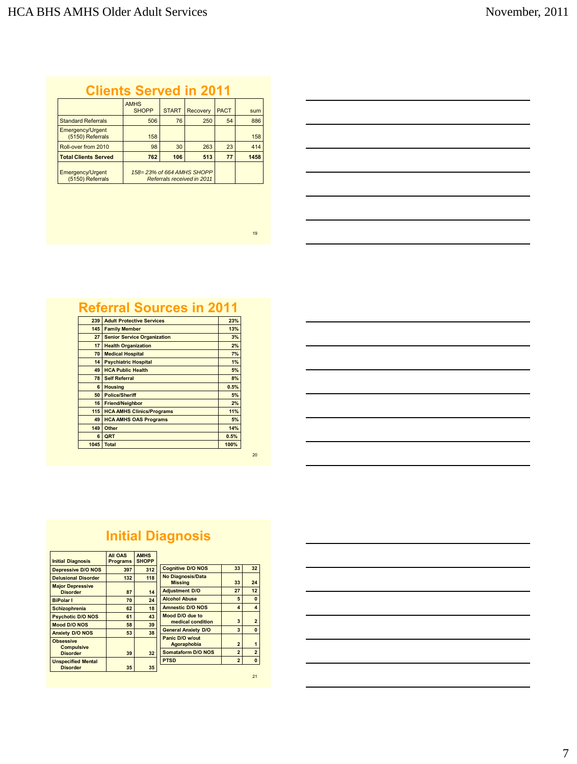# **Clients Served in 2011**

|                                      | <b>AMHS</b><br><b>SHOPP</b>                             | <b>START</b> | <b>Recovery</b> | <b>PACT</b> | sum  |
|--------------------------------------|---------------------------------------------------------|--------------|-----------------|-------------|------|
| <b>Standard Referrals</b>            | 506                                                     | 76           | 250             | 54          | 886  |
| Emergency/Urgent<br>(5150) Referrals | 158                                                     |              |                 |             | 158  |
| Roll-over from 2010                  | 98                                                      | 30           | 263             | 23          | 414  |
| <b>Total Clients Served</b>          | 762                                                     | 106          | 513             | 77          | 1458 |
| Emergency/Urgent<br>(5150) Referrals | 158=23% of 664 AMHS SHOPP<br>Referrals received in 2011 |              |                 |             |      |

| 239  | <b>Adult Protective Services</b>   | 23%  |
|------|------------------------------------|------|
| 145  | <b>Family Member</b>               | 13%  |
| 27   | <b>Senior Service Organization</b> | 3%   |
| 17   | <b>Health Organization</b>         | 2%   |
| 70   | <b>Medical Hospital</b>            | 7%   |
| 14   | <b>Psychiatric Hospital</b>        | 1%   |
| 49   | <b>HCA Public Health</b>           | 5%   |
| 78   | <b>Self Referral</b>               | 8%   |
| 6    | <b>Housing</b>                     | 0.5% |
| 50   | <b>Police/Sheriff</b>              | 5%   |
| 16   | <b>Friend/Neighbor</b>             | 2%   |
| 115  | <b>HCA AMHS Clinics/Programs</b>   | 11%  |
| 49   | <b>HCA AMHS OAS Programs</b>       | 5%   |
| 149  | Other                              | 14%  |
| 6    | QRT                                | 0.5% |
| 1045 | <b>Total</b>                       | 100% |
|      |                                    |      |

20

19

# **Initial Diagnosis**

| <b>Initial Diagnosis</b>              | All OAS<br><b>Programs</b> | <b>AMHS</b><br><b>SHOPP</b> |                                |                |                |
|---------------------------------------|----------------------------|-----------------------------|--------------------------------|----------------|----------------|
| <b>Depressive D/O NOS</b>             | 397                        | 312                         | <b>Cognitive D/O NOS</b>       | 33             | 32             |
| <b>Delusional Disorder</b>            | 132                        | 118                         | <b>No Diagnosis/Data</b>       |                |                |
| <b>Major Depressive</b>               |                            |                             | <b>Missina</b>                 | 33             | 24             |
| <b>Disorder</b>                       | 87                         | 14                          | <b>Adjustment D/O</b>          | 27             | 12             |
| <b>BiPolar I</b>                      | 70                         | 24                          | <b>Alcohol Abuse</b>           | 5              | $\mathbf 0$    |
| <b>Schizophrenia</b>                  | 62                         | 18                          | <b>Amnestic D/O NOS</b>        | $\overline{4}$ | $\overline{4}$ |
| <b>Psychotic D/O NOS</b>              | 61                         | 43                          | Mood D/O due to                |                |                |
| <b>Mood D/O NOS</b>                   | 58                         | 39                          | medical condition              | 3              | $\overline{2}$ |
| <b>Anxiety D/O NOS</b>                | 53                         | 38                          | <b>General Anxiety D/O</b>     | 3              | $\mathbf 0$    |
| <b>Obsessive</b><br><b>Compulsive</b> |                            |                             | Panic D/O w/out<br>Agoraphobia | $\overline{2}$ | $\overline{1}$ |
| <b>Disorder</b>                       | 39                         | 32                          | <b>Somataform D/O NOS</b>      | $\overline{2}$ | $\overline{2}$ |
| <b>Unspecified Mental</b>             |                            |                             | <b>PTSD</b>                    | $\overline{2}$ | $\mathbf 0$    |
| <b>Disorder</b>                       | 35                         | 35                          |                                |                |                |
|                                       |                            |                             |                                |                | 21             |